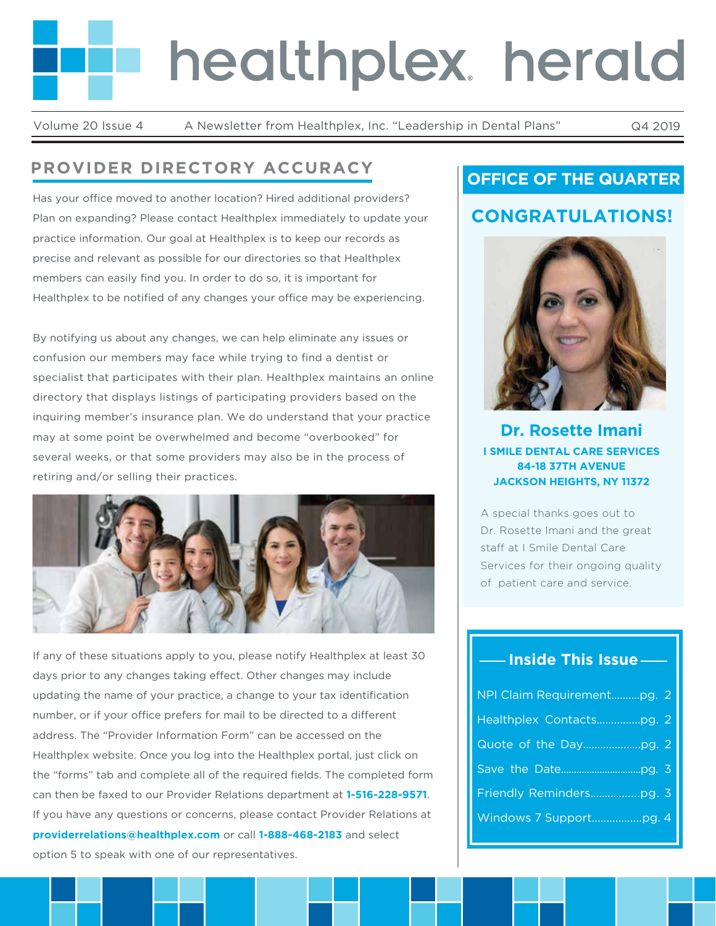# healthplex. herald

Volume 20 Issue 4 A Newsletter from Healthplex, Inc. "Leadership in Dental Plans" Q4 2019

# **PROVIDER DIRECTORY ACCURACY**

Has your office moved to another location? Hired additional providers? Plan on expanding? Please contact Healthplex immediately to update your practice information. Our goal at Healthplex is to keep our records as precise and relevant as possible for our directories so that Healthplex members can easily find you. In order to do so, it is important for Healthplex to be notified of any changes your office may be experiencing.

By notifying us about any changes, we can help eliminate any issues or confusion our members may face while trying to find a dentist or specialist that participates with their plan. Healthplex maintains an online directory that displays listings of participating providers based on the inquiring member's insurance plan. We do understand that your practice may at some point be overwhelmed and become "overbooked" for several weeks, or that some providers may also be in the process of retiring and/or selling their practices.



If any of these situations apply to you, please notify Healthplex at least 30 days prior to any changes taking effect. Other changes may include updating the name of your practice, a change to your tax identification number, or if your office prefers for mail to be directed to a different address. The "Provider Information Form" can be accessed on the Healthplex website. Once you log into the Healthplex portal, just click on the "forms" tab and complete all of the required fields. The completed form can then be faxed to our Provider Relations department at **1-516-228-9571**. If you have any questions or concerns, please contact Provider Relations at **providerrelations@healthplex.com** or call **1-888-468-2183** and select option 5 to speak with one of our representatives.

# **OFFICE OF THE QUARTER**

# **CONGRATULATIONS!**



**Dr. Rosette Imani I SMILE DENTAL CARE SERVICES 84-18 37TH AVENUE JACKSON HEIGHTS, NY 11372**

A special thanks goes out to Dr. Rosette Imani and the great staff at I Smile Dental Care Services for their ongoing quality of patient care and service.

## **Inside This Issue**

| NPI Claim Requirementpg. 2 |  |
|----------------------------|--|
|                            |  |
|                            |  |
|                            |  |
|                            |  |
|                            |  |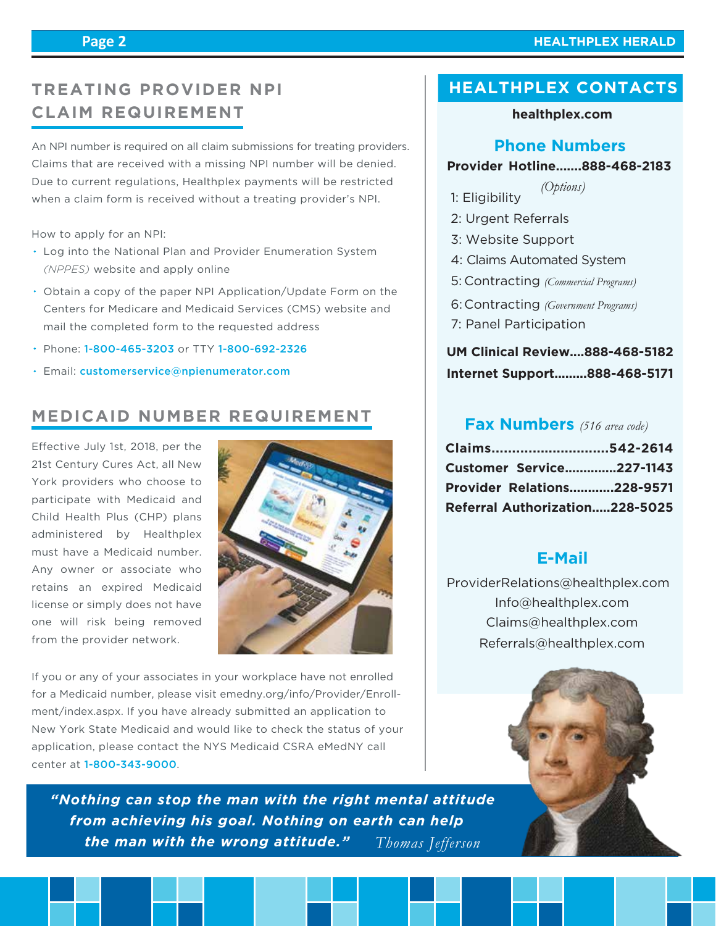#### **Page 2**

# **TREATING PROVIDER NPI CLAIM REQUIREMENT**

An NPI number is required on all claim submissions for treating providers. Claims that are received with a missing NPI number will be denied. Due to current regulations, Healthplex payments will be restricted when a claim form is received without a treating provider's NPI.

How to apply for an NPI:

- Log into the National Plan and Provider Enumeration System *(NPPES)* website and apply online
- Obtain a copy of the paper NPI Application/Update Form on the Centers for Medicare and Medicaid Services (CMS) website and mail the completed form to the requested address
- Phone: 1-800-465-3203 or TTY 1-800-692-2326
- Email: customerservice@npienumerator.com

# **MEDICAID NUMBER REQUIREMENT**

Effective July 1st, 2018, per the 21st Century Cures Act, all New York providers who choose to participate with Medicaid and Child Health Plus (CHP) plans administered by Healthplex must have a Medicaid number. Any owner or associate who retains an expired Medicaid license or simply does not have one will risk being removed from the provider network.



If you or any of your associates in your workplace have not enrolled for a Medicaid number, please visit emedny.org/info/Provider/Enrollment/index.aspx. If you have already submitted an application to New York State Medicaid and would like to check the status of your application, please contact the NYS Medicaid CSRA eMedNY call center at 1-800-343-9000.

*"Nothing can stop the man with the right mental attitude from achieving his goal. Nothing on earth can help the man with the wrong attitude." Thomas Jefferson* 

## **HEALTHPLEX CONTACTS**

#### **healthplex.com**

#### **Phone Numbers**

#### **Provider Hotline.......888-468-2183**

- 1: Eligibility *(Options)*
- 2: Urgent Referrals
- 3: Website Support
- 4: Claims Automated System
- Contracting *(Commercial Programs)* 5:
- Contracting *(Government Programs)* 6:
- 7: Panel Participation

## **UM Clinical Review....888-468-5182 Internet Support.........888-468-5171**

#### **Fax Numbers** *(516 area code)*

| Claims542-2614                    |  |
|-----------------------------------|--|
| <b>Customer Service227-1143</b>   |  |
| <b>Provider Relations228-9571</b> |  |
| Referral Authorization228-5025    |  |

### **E-Mail**

 Info@healthplex.com ProviderRelations@healthplex.com Claims@healthplex.com Referrals@healthplex.com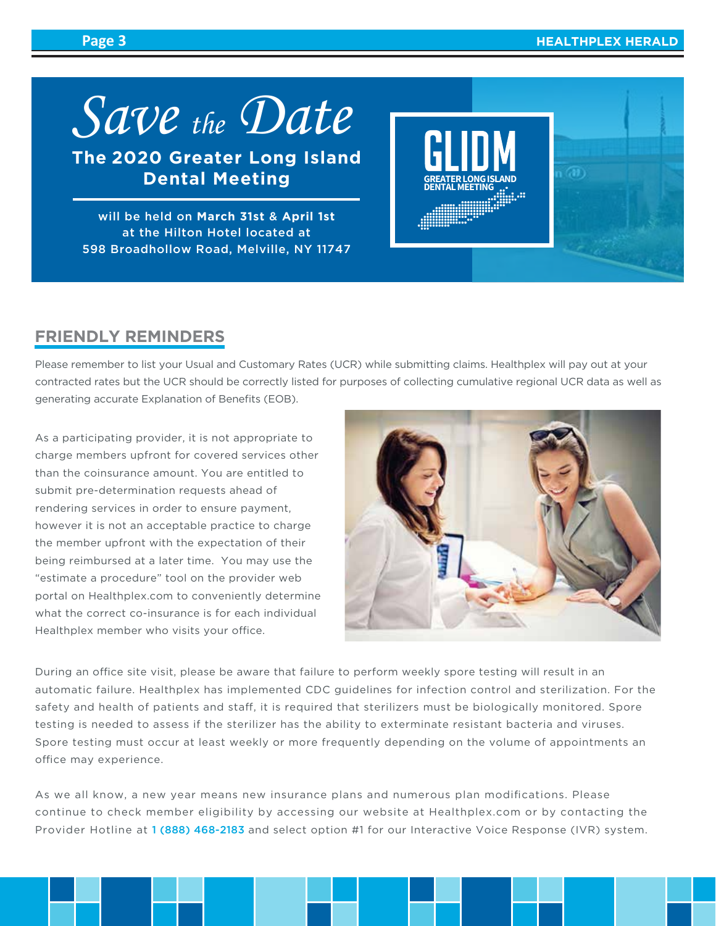(a)

*Save the Date*

**The 2020 Greater Long Island Dental Meeting**

will be held on **March 31st** & **April 1st**  at the Hilton Hotel located at 598 Broadhollow Road, Melville, NY 11747

## **FRIENDLY REMINDERS**

Please remember to list your Usual and Customary Rates (UCR) while submitting claims. Healthplex will pay out at your contracted rates but the UCR should be correctly listed for purposes of collecting cumulative regional UCR data as well as generating accurate Explanation of Benefits (EOB).

As a participating provider, it is not appropriate to charge members upfront for covered services other than the coinsurance amount. You are entitled to submit pre-determination requests ahead of rendering services in order to ensure payment, however it is not an acceptable practice to charge the member upfront with the expectation of their being reimbursed at a later time. You may use the "estimate a procedure" tool on the provider web portal on Healthplex.com to conveniently determine what the correct co-insurance is for each individual Healthplex member who visits your office.



**DENTAL MEETING** 

During an office site visit, please be aware that failure to perform weekly spore testing will result in an automatic failure. Healthplex has implemented CDC guidelines for infection control and sterilization. For the safety and health of patients and staff, it is required that sterilizers must be biologically monitored. Spore testing is needed to assess if the sterilizer has the ability to exterminate resistant bacteria and viruses. Spore testing must occur at least weekly or more frequently depending on the volume of appointments an office may experience.

As we all know, a new year means new insurance plans and numerous plan modifications. Please continue to check member eligibility by accessing our website at Healthplex.com or by contacting the Provider Hotline at 1 (888) 468-2183 and select option #1 for our Interactive Voice Response (IVR) system.